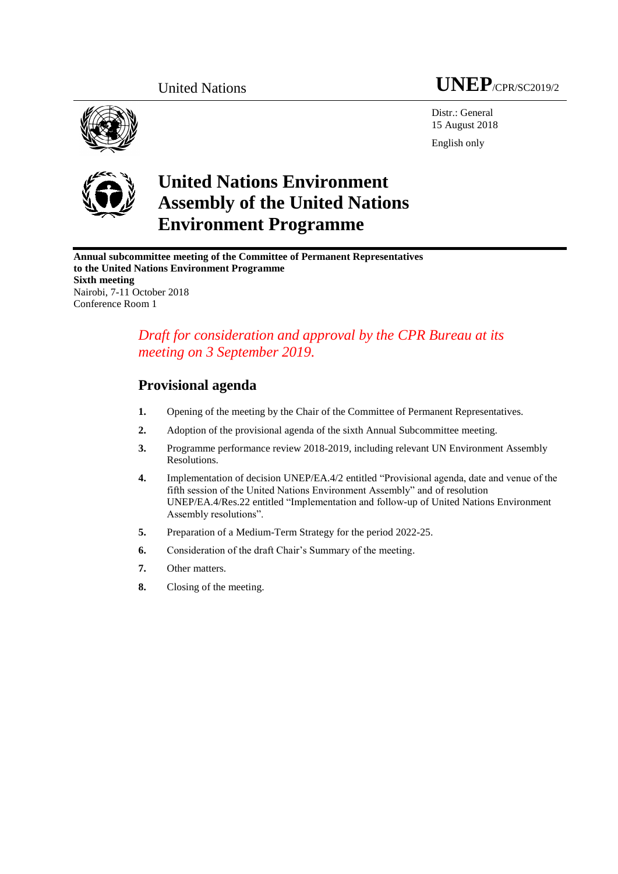



Distr.: General 15 August 2018 English only



# **United Nations Environment Assembly of the United Nations Environment Programme**

**Annual subcommittee meeting of the Committee of Permanent Representatives to the United Nations Environment Programme Sixth meeting** Nairobi, 7-11 October 2018 Conference Room 1

### *Draft for consideration and approval by the CPR Bureau at its meeting on 3 September 2019.*

## **Provisional agenda**

- **1.** Opening of the meeting by the Chair of the Committee of Permanent Representatives.
- **2.** Adoption of the provisional agenda of the sixth Annual Subcommittee meeting.
- **3.** Programme performance review 2018-2019, including relevant UN Environment Assembly Resolutions.
- **4.** Implementation of decision UNEP/EA.4/2 entitled "Provisional agenda, date and venue of the fifth session of the United Nations Environment Assembly" and of resolution UNEP/EA.4/Res.22 entitled "Implementation and follow-up of United Nations Environment Assembly resolutions".
- **5.** Preparation of a Medium-Term Strategy for the period 2022-25.
- **6.** Consideration of the draft Chair's Summary of the meeting.
- **7.** Other matters.
- **8.** Closing of the meeting.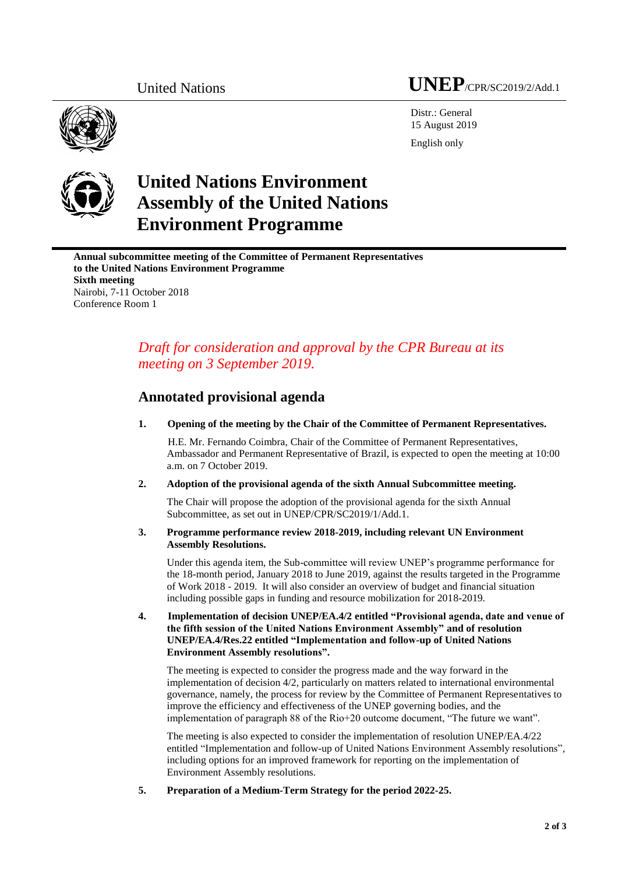## United Nations **UNEP**/CPR/SC2019/2/Add.1

Distr.: General 15 August 2019

English only



# **United Nations Environment Assembly of the United Nations Environment Programme**

**Annual subcommittee meeting of the Committee of Permanent Representatives to the United Nations Environment Programme Sixth meeting** Nairobi, 7-11 October 2018 Conference Room 1

## *Draft for consideration and approval by the CPR Bureau at its meeting on 3 September 2019.*

### **Annotated provisional agenda**

**1. Opening of the meeting by the Chair of the Committee of Permanent Representatives.**

H.E. Mr. Fernando Coimbra, Chair of the Committee of Permanent Representatives, Ambassador and Permanent Representative of Brazil, is expected to open the meeting at 10:00 a.m. on 7 October 2019.

**2. Adoption of the provisional agenda of the sixth Annual Subcommittee meeting.** 

The Chair will propose the adoption of the provisional agenda for the sixth Annual Subcommittee, as set out in UNEP/CPR/SC2019/1/Add.1.

#### **3. Programme performance review 2018-2019, including relevant UN Environment Assembly Resolutions.**

Under this agenda item, the Sub-committee will review UNEP's programme performance for the 18-month period, January 2018 to June 2019, against the results targeted in the Programme of Work 2018 - 2019. It will also consider an overview of budget and financial situation including possible gaps in funding and resource mobilization for 2018-2019.

**4. Implementation of decision UNEP/EA.4/2 entitled "Provisional agenda, date and venue of the fifth session of the United Nations Environment Assembly" and of resolution UNEP/EA.4/Res.22 entitled "Implementation and follow-up of United Nations Environment Assembly resolutions".**

The meeting is expected to consider the progress made and the way forward in the implementation of decision 4/2, particularly on matters related to international environmental governance, namely, the process for review by the Committee of Permanent Representatives to improve the efficiency and effectiveness of the UNEP governing bodies, and the implementation of paragraph 88 of the Rio+20 outcome document, "The future we want".

The meeting is also expected to consider the implementation of resolution UNEP/EA.4/22 entitled "Implementation and follow-up of United Nations Environment Assembly resolutions", including options for an improved framework for reporting on the implementation of Environment Assembly resolutions.

**5. Preparation of a Medium-Term Strategy for the period 2022-25.**